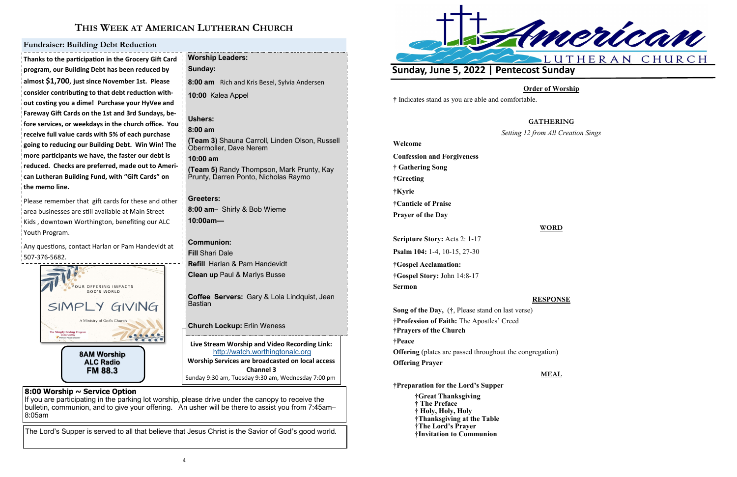

**FM 88.3**

## **THIS WEEK AT AMERICAN LUTHERAN CHURCH**

### **8:00 Worship ~ Service Option**

If you are participating in the parking lot worship, please drive under the canopy to receive the bulletin, communion, and to give your offering. An usher will be there to assist you from 7:45am– 8:05am

The Lord's Supper is served to all that believe that Jesus Christ is the Savior of God's good world.

**Thanks to the participation in the Grocery Gift Card program, our Building Debt has been reduced by almost \$1,700**, **just since November 1st. Please consider contributing to that debt reduction without costing you a dime! Purchase your HyVee and Fareway Gift Cards on the 1st and 3rd Sundays, before services, or weekdays in the church office. You receive full value cards with 5% of each purchase going to reducing our Building Debt. Win Win! The more participants we have, the faster our debt is reduced. Checks are preferred, made out to American Lutheran Building Fund, with "Gift Cards" on the memo line.**

Please remember that gift cards for these and other area businesses are still available at Main Street .<br>Kids, downtown Worthington, benefiting our ALC Youth Program.

**Live Stream Worship and Video Recording Link:**  <http://watch.worthingtonalc.org> **Worship Services are broadcasted on local access Channel 3** Sunday 9:30 am, Tuesday 9:30 am, Wednesday 7:00 pm **Worship Leaders: Sunday: 8:00 am** Rich and Kris Besel, Sylvia Andersen **10:00** Kalea Appel **Ushers: 8:00 am (Team 3)** Shauna Carroll, Linden Olson, Russell Obermoller, Dave Nerem **10:00 am (Team 5)** Randy Thompson, Mark Prunty, Kay Prunty, Darren Ponto, Nicholas Raymo **Greeters: 8:00 am–** Shirly & Bob Wieme **10:00am— Communion: Fill** Shari Dale **Refill** Harlan & Pam Handevidt **Clean up** Paul & Marlys Busse **Coffee Servers:** Gary & Lola Lindquist, Jean Bastian **Church Lockup:** Erlin Weness

Any questions, contact Harlan or Pam Handevidt at 507-376-5682.

### **Fundraiser: Building Debt Reduction**



### **Order of Worship**

*GEATHERING* 

**Setable 2** *Sings Creation Sings* 

**†** Indicates stand as you are able and comfortable.

|                                                                                                                | GA            |
|----------------------------------------------------------------------------------------------------------------|---------------|
|                                                                                                                | Setting 12 fr |
| Welcome<br><b>Confession and Forgiveness</b><br>† Gathering Song<br>†Greeting<br>†Kyrie<br>†Canticle of Praise |               |
|                                                                                                                |               |
|                                                                                                                |               |
|                                                                                                                |               |
|                                                                                                                |               |
|                                                                                                                |               |
| <b>Prayer of the Day</b>                                                                                       |               |
| <b>Scripture Story: Acts 2: 1-17</b>                                                                           |               |
| <b>Psalm 104:</b> 1-4, 10-15, 27-30                                                                            |               |
| †Gospel Acclamation:                                                                                           |               |
| †Gospel Story: John 14:8-17                                                                                    |               |
| Sermon                                                                                                         |               |
|                                                                                                                |               |

**WORD**

**RESPONSE**

**Song of the Day,** (**†**, Please stand on last verse) **†Profession of Faith:** The Apostles' Creed **†Prayers of the Church †Peace Offering** (plates are passed throughout the congregation) **Offering Prayer**

**MEAL**

**†Preparation for the Lord's Supper**

**†Great Thanksgiving † The Preface † Holy, Holy, Holy †Thanksgiving at the Table** †**The Lord's Prayer †Invitation to Communion**